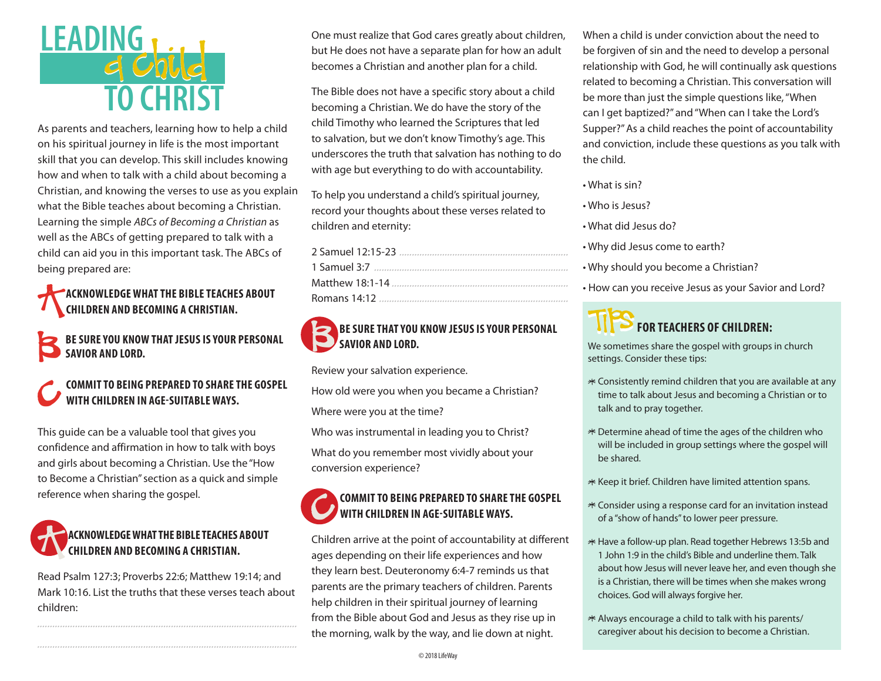# **LEADING,** d Child

As parents and teachers, learning how to help a child on his spiritual journey in life is the most important skill that you can develop. This skill includes knowing how and when to talk with a child about becoming a Christian, and knowing the verses to use as you explain what the Bible teaches about becoming a Christian. Learning the simple ABCs of Becoming a Christian as well as the ABCs of getting prepared to talk with a child can aid you in this important task. The ABCs of being prepared are:

### **ACKNOWLEDGE WHAT THE BIBLE TEACHES ABOUT CHILDREN AND BECOMING A CHRISTIAN.**

BE SURE YOU KNOW THAT JESUS IS YOUR PERSONAL **SAVIOR AND LORD.** 

### COMMIT TO BEING PREPARED TO SHARE THE GOSPEL WITH CHILDREN IN AGE-SUITABLE WAYS.

This quide can be a valuable tool that gives you confidence and affirmation in how to talk with boys and girls about becoming a Christian. Use the "How to Become a Christian" section as a quick and simple reference when sharing the gospel.

# **ACKNOWLEDGE WHAT THE BIBLE TEACHES ABOUT CHILDREN AND BECOMING A CHRISTIAN.**

Read Psalm 127:3; Proverbs 22:6; Matthew 19:14; and Mark 10:16. List the truths that these verses teach about children:

One must realize that God cares greatly about children, but He does not have a separate plan for how an adult becomes a Christian and another plan for a child.

The Bible does not have a specific story about a child becoming a Christian. We do have the story of the child Timothy who learned the Scriptures that led to salvation, but we don't know Timothy's age. This underscores the truth that salvation has nothing to do with age but everything to do with accountability.

To help you understand a child's spiritual journey, record your thoughts about these verses related to children and eternity:

#### **BE SURE THAT YOU KNOW JESUS IS YOUR PERSONAL** SAVIOR AND LORD.

Review your salvation experience.

How old were you when you became a Christian?

Where were you at the time?

Who was instrumental in leading you to Christ?

What do you remember most vividly about your conversion experience?

#### **COMMIT TO BEING PREPARED TO SHARE THE GOSPEL WITH CHILDREN IN AGE-SUITABLE WAYS.**

Children arrive at the point of accountability at different ages depending on their life experiences and how they learn best. Deuteronomy 6:4-7 reminds us that parents are the primary teachers of children. Parents help children in their spiritual journey of learning from the Bible about God and Jesus as they rise up in the morning, walk by the way, and lie down at night.

When a child is under conviction about the need to be forgiven of sin and the need to develop a personal relationship with God, he will continually ask questions related to becoming a Christian. This conversation will be more than just the simple questions like, "When can I get baptized?" and "When can I take the Lord's Supper?" As a child reaches the point of accountability and conviction, include these questions as you talk with the child.

- What is sin?
- . Who is Jesus?
- . What did Jesus do?
- . Why did Jesus come to earth?
- Why should you become a Christian?
- How can you receive Jesus as your Savior and Lord?

# **FOR TEACHERS OF CHILDREN:**

We sometimes share the gospel with groups in church settings. Consider these tips:

- \* Consistently remind children that you are available at any time to talk about Jesus and becoming a Christian or to talk and to pray together.
- \* Determine ahead of time the ages of the children who will be included in group settings where the gospel will be shared.
- \* Keep it brief. Children have limited attention spans.
- \* Consider using a response card for an invitation instead of a "show of hands" to lower peer pressure.
- \* Have a follow-up plan. Read together Hebrews 13:5b and 1 John 1:9 in the child's Bible and underline them. Talk about how Jesus will never leave her, and even though she is a Christian, there will be times when she makes wrong choices. God will always forgive her.
- \* Always encourage a child to talk with his parents/ caregiver about his decision to become a Christian.